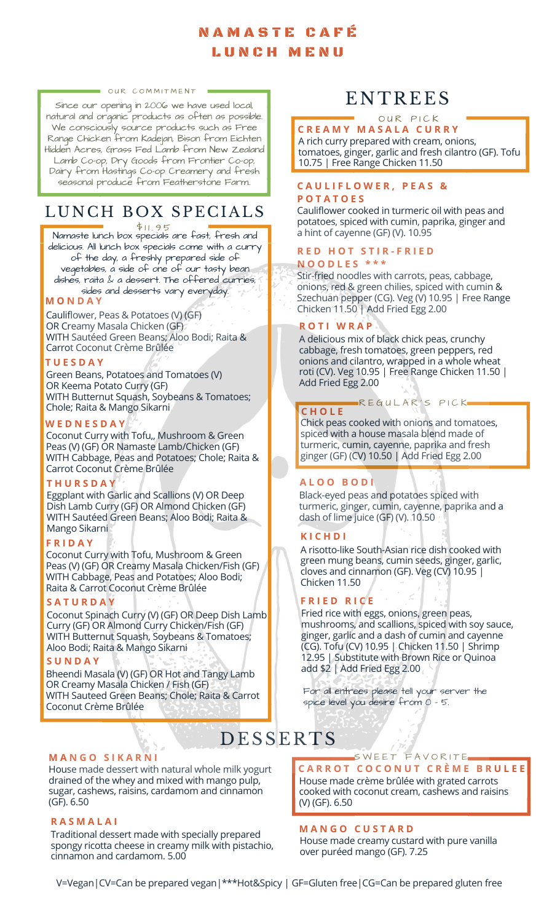## N A M A S T E C A F É L U N C H M E N U

#### OUR COMMITMENT

Since our opening in 2006 we have used local, natural and organic products as often as possible. We consciously source products such as Free Range Chicken from Kadejan, Bison from Eichten Hidden Acres, Grass Fed Lamb from New Zealand Lamb Co-op, Dry Goods from Frontier Co-op, Dairy from Hastings Co-op Creamery and fresh seasonal produce from Featherstone Farm..

## LUNCH BOX SPECIALS

Namaste lunch box specials are fast, fresh and delicious. All lunch box specials come with a curry of the day, a freshly prepared side of vegetables, a side of one of our tasty bean dishes, raita & a dessert. The offered curries, sides and desserts vary everyday.  $$11.95$ 

**M O N D A Y**

Cauliflower, Peas & Potatoes (V) (GF) OR Creamy Masala Chicken (GF) WITH Sautéed Green Beans; Aloo Bodi; Raita & Carrot Coconut Crème Brûlée

## **T U E S D A Y**

Green Beans, Potatoes and Tomatoes (V) OR Keema Potato Curry (GF) WITH Butternut Squash, Soybeans & Tomatoes; Chole; Raita & Mango Sikarni

### **W E D N E S D A Y**

Coconut Curry with Tofu,, Mushroom & Green Peas (V) (GF) OR Namaste Lamb/Chicken (GF) WITH Cabbage, Peas and Potatoes; Chole; Raita & Carrot Coconut Crème Brûlée

### **T H U R S D A Y**

Eggplant with Garlic and Scallions (V) OR Deep Dish Lamb Curry (GF) OR Almond Chicken (GF) WITH Sautéed Green Beans; Aloo Bodi; Raita & Mango Sikarni

## **F R I D A Y**

Coconut Curry with Tofu, Mushroom & Green Peas (V) (GF) OR Creamy Masala Chicken/Fish (GF) WITH Cabbage, Peas and Potatoes; Aloo Bodi; Raita & Carrot Coconut Crème Brûlée

### **S A T U R D A Y**

Coconut Spinach Curry (V) (GF) OR Deep Dish Lamb Curry (GF) OR Almond Curry Chicken/Fish (GF) WITH Butternut Squash, Soybeans & Tomatoes; Aloo Bodi; Raita & Mango Sikarni

## **S U N D A Y**

Bheendi Masala (V) (GF) OR Hot and Tangy Lamb OR Creamy Masala Chicken / Fish (GF) WITH Sauteed Green Beans; Chole; Raita & Carrot Coconut Crème Brûlée

### **M A N G O S I K A R N I**

House made dessert with natural whole milk yogurt drained of the whey and mixed with mango pulp, sugar, cashews, raisins, cardamom and cinnamon (GF). 6.50

## **R A S M A L A I**

Traditional dessert made with specially prepared spongy ricotta cheese in creamy milk with pistachio, cinnamon and cardamom. 5.00

# **ENTREES**

#### **C R E A M Y M A S A L A C U R R Y** OUR PICK

A rich curry prepared with cream, onions, tomatoes, ginger, garlic and fresh cilantro (GF). Tofu 10.75 | Free Range Chicken 11.50

## **C A U L I F L O W E R , P E A S &**

## **P O T A T O E S**

Cauliflower cooked in turmeric oil with peas and potatoes, spiced with cumin, paprika, ginger and a hint of cayenne (GF) (V). 10.95

## **R E D H O T S T I R - F R I E D**

### **N O O D L E S \* \* \***

Stir-fried noodles with carrots, peas, cabbage, onions, red & green chilies, spiced with cumin & Szechuan pepper (CG). Veg (V) 10.95 | Free Range Chicken 11.50 | Add Fried Egg 2.00

## **R O T I W R A P**

A delicious mix of black chick peas, crunchy cabbage, fresh tomatoes, green peppers, red onions and cilantro, wrapped in a whole wheat roti (CV). Veg 10.95 | Free Range Chicken 11.50 | Add Fried Egg 2.00

#### **C H O L E** R E GULAR'S PICK

Chick peas cooked with onions and tomatoes, spiced with a house masala blend made of turmeric, cumin, cayenne, paprika and fresh ginger (GF) (CV) 10.50 | Add Fried Egg 2.00

## **A L O O B O D I**

Black-eyed peas and potatoes spiced with turmeric, ginger, cumin, cayenne, paprika and a dash of lime juice (GF) (V). 10.50

## **K I C H D I**

A risotto-like South-Asian rice dish cooked with green mung beans, cumin seeds, ginger, garlic, cloves and cinnamon (GF). Veg (CV) 10.95 | Chicken 11.50

## **F R I E D R I C E**

Fried rice with eggs, onions, green peas, mushrooms, and scallions, spiced with soy sauce, ginger, garlic and a dash of cumin and cayenne (CG). Tofu (CV) 10.95 | Chicken 11.50 | Shrimp 12.95 | Substitute with Brown Rice or Quinoa add \$2 | Add Fried Egg 2.00

For all entrees please tell your server the spice level you desire from 0 - 5.

# **DESSERTS**

## **C A R R O T C O C O N U T C R È M E B R U L E E** SWEET FAVORITE

House made crème brûlée with grated carrots cooked with coconut cream, cashews and raisins (V) (GF). 6.50

## **M A N G O C U S T A R D**

House made creamy custard with pure vanilla over puréed mango (GF). 7.25

V=Vegan|CV=Can be prepared vegan|\*\*\*Hot&Spicy | GF=Gluten free|CG=Can be prepared gluten free